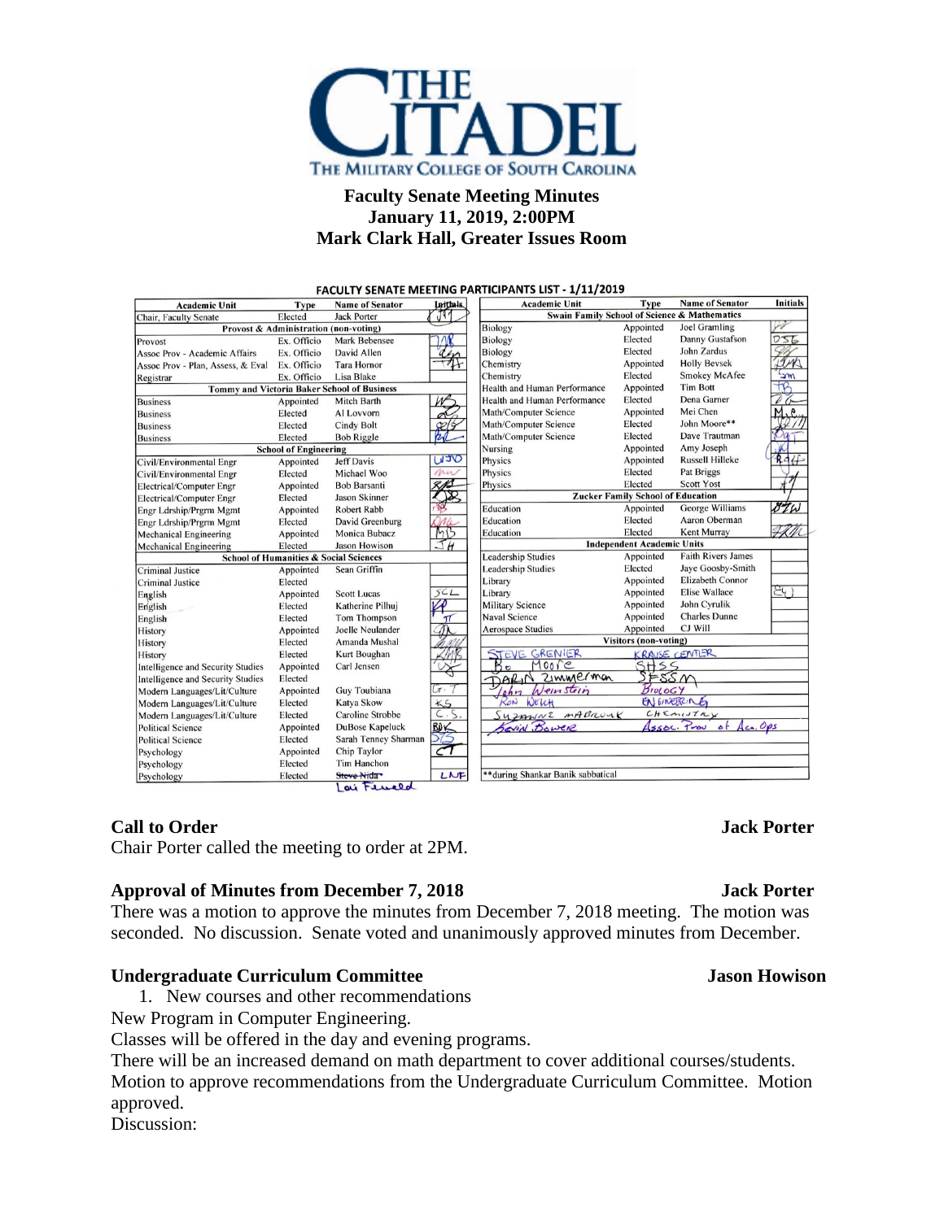

# **Faculty Senate Meeting Minutes January 11, 2019, 2:00PM Mark Clark Hall, Greater Issues Room**

| <b>Academic Unit</b>                              | <b>Type</b> | <b>Name of Senator</b>  | <b>Initials</b>                                    | <b>Academic Unit</b>                     | Type                              | <b>Name of Senator</b>              | <b>Initials</b> |
|---------------------------------------------------|-------------|-------------------------|----------------------------------------------------|------------------------------------------|-----------------------------------|-------------------------------------|-----------------|
| Chair, Faculty Senate                             | Elected     | <b>Jack Porter</b>      | াৰ<br>Swain Family School of Science & Mathematics |                                          |                                   |                                     |                 |
| Provost & Administration (non-voting)             |             |                         | Biology                                            | Appointed                                | Joel Gramling                     |                                     |                 |
| Provost                                           | Ex. Officio | Mark Bebensee           |                                                    | Biology                                  | Elected                           | Danny Gustafson                     | ワゴム             |
| Assoc Prov - Academic Affairs                     | Ex. Officio | David Allen             |                                                    | Biology                                  | Elected                           | John Zardus                         |                 |
| Assoc Prov - Plan, Assess, & Eval                 | Ex. Officio | <b>Tara Hornor</b>      |                                                    | Chemistry                                | Appointed                         | <b>Holly Beysek</b>                 | Inh             |
| Registrar                                         | Ex. Officio | Lisa Blake              |                                                    | Chemistry                                | Elected                           | <b>Smokey McAfee</b>                | <b>Sm</b>       |
| Tommy and Victoria Baker School of Business       |             |                         |                                                    | Health and Human Performance             | Appointed                         | <b>Tim Bott</b>                     | tR              |
| <b>Business</b>                                   | Appointed   | Mitch Barth             |                                                    | Health and Human Performance             | Elected                           | Dena Garner                         |                 |
| <b>Business</b>                                   | Elected     | Al Lovvorn              |                                                    | Math/Computer Science                    | Appointed                         | Mei Chen                            |                 |
| <b>Business</b>                                   | Elected     | <b>Cindy Bolt</b>       |                                                    | Math/Computer Science                    | Elected                           | John Moore**                        |                 |
| <b>Business</b>                                   | Elected     | <b>Bob Riggle</b>       |                                                    | Math/Computer Science                    | Elected                           | Dave Trautman                       |                 |
| <b>School of Engineering</b>                      |             |                         |                                                    | Nursing                                  | Appointed                         | Amy Joseph                          |                 |
| Civil/Environmental Engr                          | Appointed   | <b>Jeff Davis</b>       | OCLI                                               | Physics                                  | Appointed                         | <b>Russell Hilleke</b>              | RAf             |
| Civil/Environmental Engr                          | Elected     | Michael Woo             | mu                                                 | Physics                                  | Elected                           | <b>Pat Briggs</b>                   |                 |
| <b>Electrical/Computer Engr</b>                   | Appointed   | Bob Barsanti            | 2 N.S                                              | Physics                                  | Elected                           | <b>Scott Yost</b>                   |                 |
| <b>Electrical/Computer Engr</b>                   | Elected     | Jason Skinner           |                                                    | <b>Zucker Family School of Education</b> |                                   |                                     |                 |
| Engr Ldrship/Prgrm Mgmt                           | Appointed   | Robert Rabb             |                                                    | Education                                | Appointed                         | George Williams                     | ozw             |
| Engr Ldrship/Prgrm Mgmt                           | Elected     | David Greenburg         |                                                    | Education                                | Elected                           | Aaron Oberman                       |                 |
| <b>Mechanical Engineering</b>                     | Appointed   | Monica Bubacz           | MB                                                 | Education                                | Elected                           | Kent Murray                         |                 |
| <b>Mechanical Engineering</b>                     | Elected     | <b>Jason Howison</b>    | $\overline{H}$                                     |                                          | <b>Independent Academic Units</b> |                                     |                 |
| <b>School of Humanities &amp; Social Sciences</b> |             |                         | <b>Leadership Studies</b>                          | Appointed                                | <b>Faith Rivers James</b>         |                                     |                 |
| <b>Criminal Justice</b>                           | Appointed   | Sean Griffin            |                                                    | <b>Leadership Studies</b>                | Elected                           | Jaye Goosby-Smith                   |                 |
| <b>Criminal Justice</b>                           | Elected     |                         |                                                    | Library                                  | Appointed                         | Elizabeth Connor                    |                 |
| English                                           | Appointed   | <b>Scott Lucas</b>      | 5CL                                                | Library                                  | Appointed                         | <b>Elise Wallace</b>                | $\Xi$ 4)        |
| English                                           | Elected     | Katherine Pilhui        |                                                    | <b>Military Science</b>                  | Appointed                         | John Cyrulik                        |                 |
| English                                           | Elected     | <b>Tom Thompson</b>     | π                                                  | <b>Naval Science</b>                     | Appointed                         | <b>Charles Dunne</b>                |                 |
| History                                           | Appointed   | Joelle Neulander        |                                                    | <b>Aerospace Studies</b>                 | Appointed                         | CJ Will                             |                 |
| History                                           | Elected     | Amanda Mushal           |                                                    |                                          | <b>Visitors (non-voting)</b>      |                                     |                 |
| History                                           | Elected     | Kurt Boughan            |                                                    | GRENIER<br>STEVE                         | <b>KRAUSE CENTLER</b>             |                                     |                 |
| <b>Intelligence and Security Studies</b>          | Appointed   | Carl Jensen             |                                                    | $B_{\infty}$<br>Moore                    | SHSS                              |                                     |                 |
| <b>Intelligence and Security Studies</b>          | Elected     |                         |                                                    | ZIMMErman<br>DARIN                       | FSSN                              |                                     |                 |
| Modern Languages/Lit/Culture                      | Appointed   | Guy Toubiana            | $\pi$ .                                            | Weinstein<br>ohn                         | BIOLOGY                           |                                     |                 |
| Modern Languages/Lit/Culture                      | Elected     | Katya Skow              | KS                                                 | RON<br>WELCH                             |                                   | EN GINERING                         |                 |
| Modern Languages/Lit/Culture                      | Elected     | <b>Caroline Strobbe</b> | C.S.                                               | SUZAWNE MABROUK                          |                                   | CHEMIJILV                           |                 |
| <b>Political Science</b>                          | Appointed   | <b>DuBose Kapeluck</b>  | BO∠                                                | Kavin Bower                              |                                   | $A_{ca}$ , Ops<br>ssoc. Prove<br>of |                 |
| <b>Political Science</b>                          | Elected     | Sarah Tenney Sharman    | 275                                                |                                          |                                   |                                     |                 |
| Psychology                                        | Appointed   | Chip Taylor             | $\overline{\mathcal{C}}$                           |                                          |                                   |                                     |                 |
| Psychology                                        | Elected     | <b>Tim Hanchon</b>      |                                                    |                                          |                                   |                                     |                 |
| Psychology                                        | Elected     | Steve Nida              | LNF                                                | **during Shankar Banik sabbatical        |                                   |                                     |                 |

## **Call to Order Jack Porter**

Chair Porter called the meeting to order at 2PM.

### **Approval of Minutes from December 7, 2018 Jack Porter**

There was a motion to approve the minutes from December 7, 2018 meeting. The motion was seconded. No discussion. Senate voted and unanimously approved minutes from December.

### **Undergraduate Curriculum Committee Jason Howison**

1. New courses and other recommendations

New Program in Computer Engineering.

Classes will be offered in the day and evening programs.

There will be an increased demand on math department to cover additional courses/students. Motion to approve recommendations from the Undergraduate Curriculum Committee. Motion approved.

Discussion: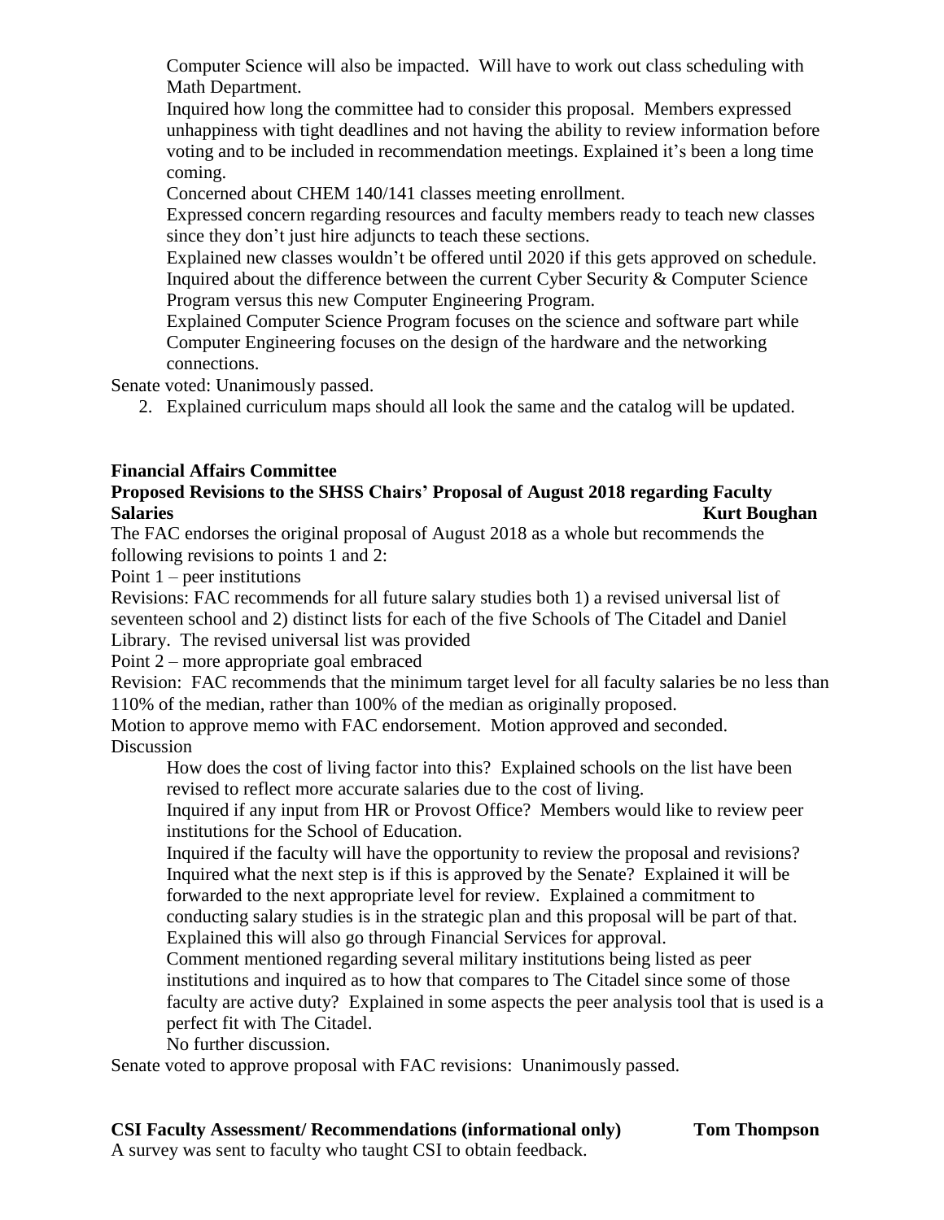Computer Science will also be impacted. Will have to work out class scheduling with Math Department.

Inquired how long the committee had to consider this proposal. Members expressed unhappiness with tight deadlines and not having the ability to review information before voting and to be included in recommendation meetings. Explained it's been a long time coming.

Concerned about CHEM 140/141 classes meeting enrollment.

Expressed concern regarding resources and faculty members ready to teach new classes since they don't just hire adjuncts to teach these sections.

Explained new classes wouldn't be offered until 2020 if this gets approved on schedule. Inquired about the difference between the current Cyber Security & Computer Science Program versus this new Computer Engineering Program.

Explained Computer Science Program focuses on the science and software part while Computer Engineering focuses on the design of the hardware and the networking connections.

Senate voted: Unanimously passed.

2. Explained curriculum maps should all look the same and the catalog will be updated.

# **Financial Affairs Committee**

# **Proposed Revisions to the SHSS Chairs' Proposal of August 2018 regarding Faculty Salaries Kurt Boughan**

The FAC endorses the original proposal of August 2018 as a whole but recommends the following revisions to points 1 and 2:

Point 1 – peer institutions

Revisions: FAC recommends for all future salary studies both 1) a revised universal list of seventeen school and 2) distinct lists for each of the five Schools of The Citadel and Daniel Library. The revised universal list was provided

Point 2 – more appropriate goal embraced

Revision: FAC recommends that the minimum target level for all faculty salaries be no less than 110% of the median, rather than 100% of the median as originally proposed.

Motion to approve memo with FAC endorsement. Motion approved and seconded. Discussion

How does the cost of living factor into this? Explained schools on the list have been revised to reflect more accurate salaries due to the cost of living.

Inquired if any input from HR or Provost Office? Members would like to review peer institutions for the School of Education.

Inquired if the faculty will have the opportunity to review the proposal and revisions? Inquired what the next step is if this is approved by the Senate? Explained it will be forwarded to the next appropriate level for review. Explained a commitment to conducting salary studies is in the strategic plan and this proposal will be part of that. Explained this will also go through Financial Services for approval.

Comment mentioned regarding several military institutions being listed as peer institutions and inquired as to how that compares to The Citadel since some of those faculty are active duty? Explained in some aspects the peer analysis tool that is used is a perfect fit with The Citadel.

No further discussion.

Senate voted to approve proposal with FAC revisions: Unanimously passed.

## **CSI Faculty Assessment/ Recommendations (informational only) Tom Thompson**

A survey was sent to faculty who taught CSI to obtain feedback.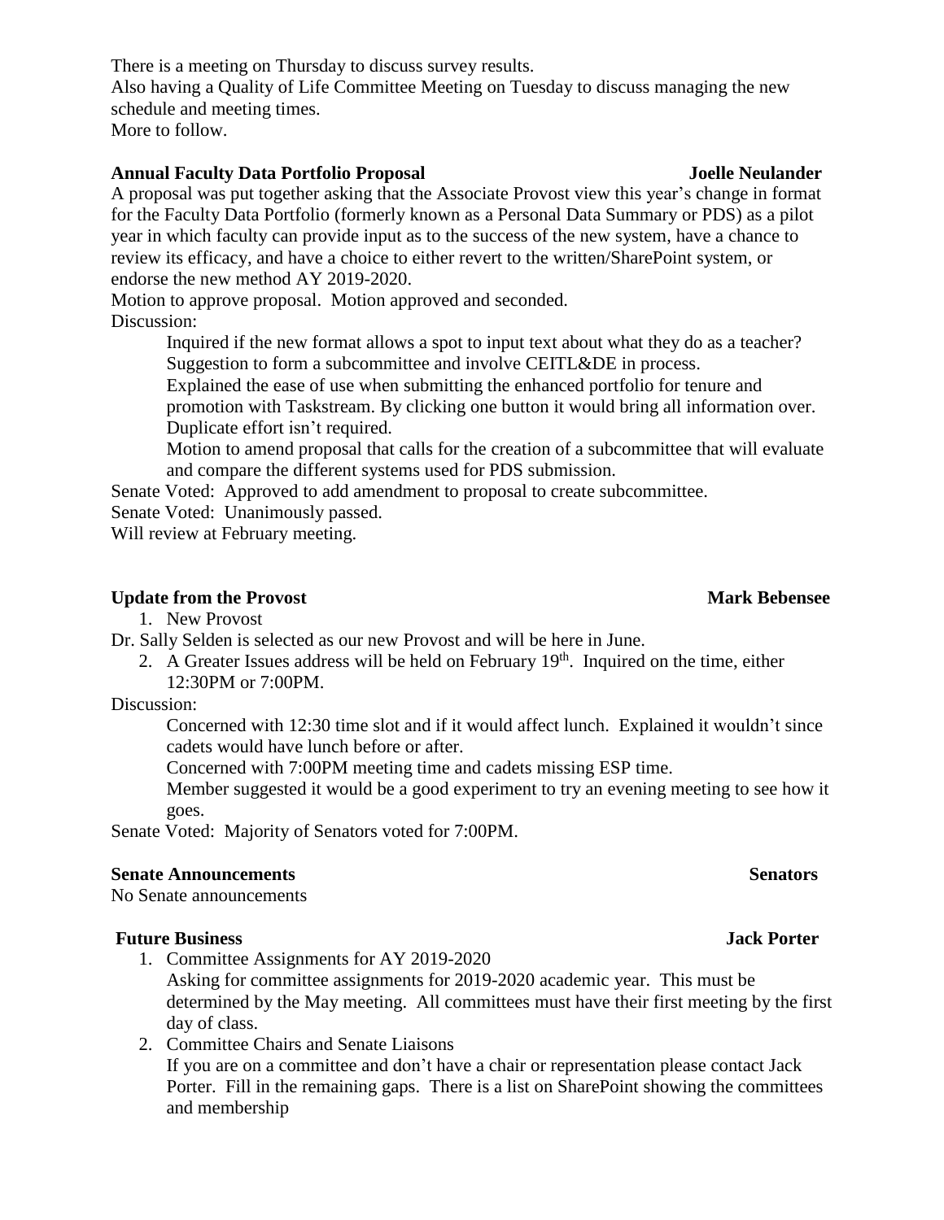There is a meeting on Thursday to discuss survey results. Also having a Quality of Life Committee Meeting on Tuesday to discuss managing the new schedule and meeting times. More to follow.

# **Annual Faculty Data Portfolio Proposal Joelle Neulander**

A proposal was put together asking that the Associate Provost view this year's change in format for the Faculty Data Portfolio (formerly known as a Personal Data Summary or PDS) as a pilot year in which faculty can provide input as to the success of the new system, have a chance to review its efficacy, and have a choice to either revert to the written/SharePoint system, or endorse the new method AY 2019-2020.

Motion to approve proposal. Motion approved and seconded. Discussion:

> Inquired if the new format allows a spot to input text about what they do as a teacher? Suggestion to form a subcommittee and involve CEITL&DE in process.

Explained the ease of use when submitting the enhanced portfolio for tenure and promotion with Taskstream. By clicking one button it would bring all information over. Duplicate effort isn't required.

Motion to amend proposal that calls for the creation of a subcommittee that will evaluate and compare the different systems used for PDS submission.

Senate Voted: Approved to add amendment to proposal to create subcommittee.

Senate Voted: Unanimously passed.

Will review at February meeting.

### **Update from the Provost** Mark Bebensee **Mark** Bebensee

1. New Provost

Dr. Sally Selden is selected as our new Provost and will be here in June.

2. A Greater Issues address will be held on February  $19<sup>th</sup>$ . Inquired on the time, either 12:30PM or 7:00PM.

Discussion:

Concerned with 12:30 time slot and if it would affect lunch. Explained it wouldn't since cadets would have lunch before or after.

Concerned with 7:00PM meeting time and cadets missing ESP time.

Member suggested it would be a good experiment to try an evening meeting to see how it goes.

Senate Voted: Majority of Senators voted for 7:00PM.

### **Senate Announcements** Senators Senators

No Senate announcements

### **Future Business Jack Porter**

1. Committee Assignments for AY 2019-2020

Asking for committee assignments for 2019-2020 academic year. This must be determined by the May meeting. All committees must have their first meeting by the first day of class.

2. Committee Chairs and Senate Liaisons If you are on a committee and don't have a chair or representation please contact Jack Porter. Fill in the remaining gaps. There is a list on SharePoint showing the committees and membership